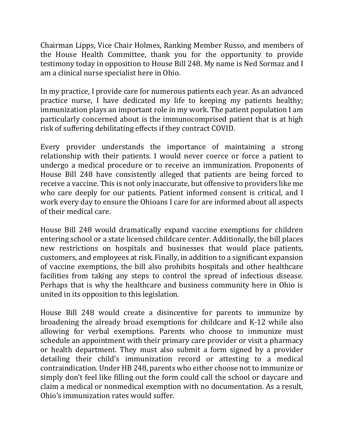Chairman Lipps, Vice Chair Holmes, Ranking Member Russo, and members of the House Health Committee, thank you for the opportunity to provide testimony today in opposition to House Bill 248. My name is Ned Sormaz and I am a clinical nurse specialist here in Ohio.

In my practice, I provide care for numerous patients each year. As an advanced practice nurse, I have dedicated my life to keeping my patients healthy; immunization plays an important role in my work. The patient population I am particularly concerned about is the immunocomprised patient that is at high risk of suffering debilitating effects if they contract COVID.

Every provider understands the importance of maintaining a strong relationship with their patients. I would never coerce or force a patient to undergo a medical procedure or to receive an immunization. Proponents of House Bill 248 have consistently alleged that patients are being forced to receive a vaccine. This is not only inaccurate, but offensive to providers like me who care deeply for our patients. Patient informed consent is critical, and I work every day to ensure the Ohioans I care for are informed about all aspects of their medical care.

House Bill 248 would dramatically expand vaccine exemptions for children entering school or a state licensed childcare center. Additionally, the bill places new restrictions on hospitals and businesses that would place patients, customers, and employees at risk. Finally, in addition to a significant expansion of vaccine exemptions, the bill also prohibits hospitals and other healthcare facilities from taking any steps to control the spread of infectious disease. Perhaps that is why the healthcare and business community here in Ohio is united in its opposition to this legislation.

House Bill 248 would create a disincentive for parents to immunize by broadening the already broad exemptions for childcare and K-12 while also allowing for verbal exemptions. Parents who choose to immunize must schedule an appointment with their primary care provider or visit a pharmacy or health department. They must also submit a form signed by a provider detailing their child's immunization record or attesting to a medical contraindication. Under HB 248, parents who either choose not to immunize or simply don't feel like filling out the form could call the school or daycare and claim a medical or nonmedical exemption with no documentation. As a result, Ohio's immunization rates would suffer.